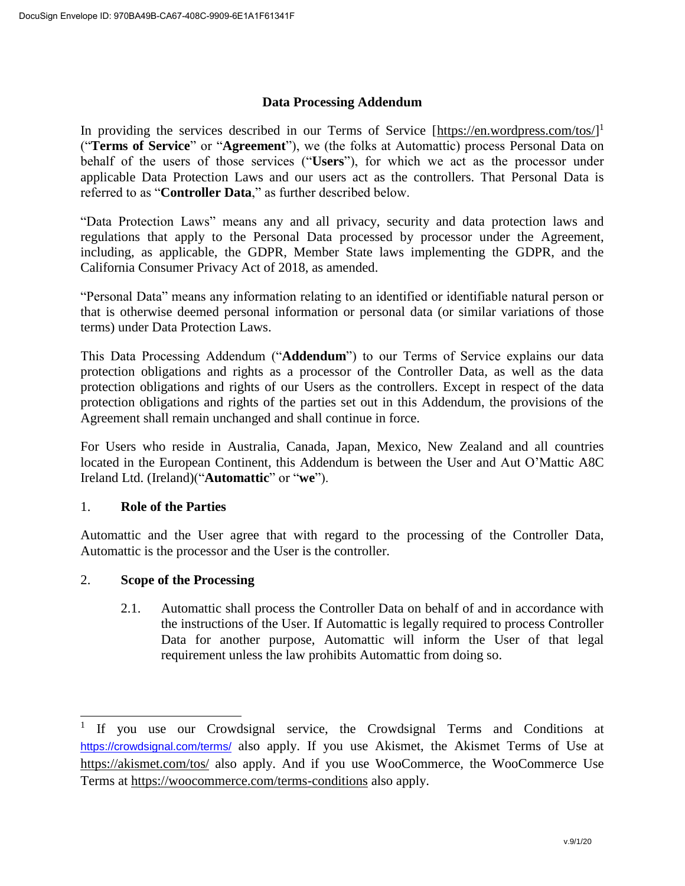## **Data Processing Addendum**

In providing the services described in our Terms of Service [\[https://en.wordpress.com/tos/\]](https://en.wordpress.com/tos/)<sup>1</sup> ("**Terms of Service**" or "**Agreement**"), we (the folks at Automattic) process Personal Data on behalf of the users of those services ("**Users**"), for which we act as the processor under applicable Data Protection Laws and our users act as the controllers. That Personal Data is referred to as "**Controller Data**," as further described below.

"Data Protection Laws" means any and all privacy, security and data protection laws and regulations that apply to the Personal Data processed by processor under the Agreement, including, as applicable, the GDPR, Member State laws implementing the GDPR, and the California Consumer Privacy Act of 2018, as amended.

"Personal Data" means any information relating to an identified or identifiable natural person or that is otherwise deemed personal information or personal data (or similar variations of those terms) under Data Protection Laws.

This Data Processing Addendum ("**Addendum**") to our Terms of Service explains our data protection obligations and rights as a processor of the Controller Data, as well as the data protection obligations and rights of our Users as the controllers. Except in respect of the data protection obligations and rights of the parties set out in this Addendum, the provisions of the Agreement shall remain unchanged and shall continue in force.

For Users who reside in Australia, Canada, Japan, Mexico, New Zealand and all countries located in the European Continent, this Addendum is between the User and Aut O'Mattic A8C Ireland Ltd. (Ireland)("**Automattic**" or "**we**").

## 1. **Role of the Parties**

l

Automattic and the User agree that with regard to the processing of the Controller Data, Automattic is the processor and the User is the controller.

## 2. **Scope of the Processing**

2.1. Automattic shall process the Controller Data on behalf of and in accordance with the instructions of the User. If Automattic is legally required to process Controller Data for another purpose, Automattic will inform the User of that legal requirement unless the law prohibits Automattic from doing so.

<sup>1</sup> If you use our Crowdsignal service, the Crowdsignal Terms and Conditions at <https://crowdsignal.com/terms/> also apply. If you use Akismet, the Akismet Terms of Use at https://akismet.com/tos/ also apply. And if you use WooCommerce, the WooCommerce Use Terms at <https://woocommerce.com/terms-conditions> also apply.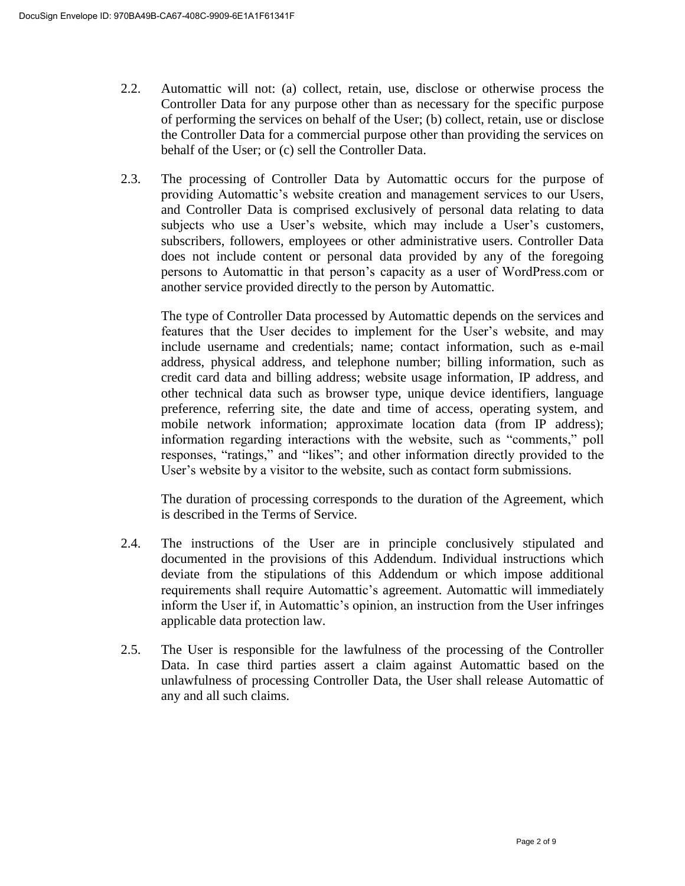- 2.2. Automattic will not: (a) collect, retain, use, disclose or otherwise process the Controller Data for any purpose other than as necessary for the specific purpose of performing the services on behalf of the User; (b) collect, retain, use or disclose the Controller Data for a commercial purpose other than providing the services on behalf of the User; or (c) sell the Controller Data.
- 2.3. The processing of Controller Data by Automattic occurs for the purpose of providing Automattic's website creation and management services to our Users, and Controller Data is comprised exclusively of personal data relating to data subjects who use a User's website, which may include a User's customers, subscribers, followers, employees or other administrative users. Controller Data does not include content or personal data provided by any of the foregoing persons to Automattic in that person's capacity as a user of WordPress.com or another service provided directly to the person by Automattic.

The type of Controller Data processed by Automattic depends on the services and features that the User decides to implement for the User's website, and may include username and credentials; name; contact information, such as e-mail address, physical address, and telephone number; billing information, such as credit card data and billing address; website usage information, IP address, and other technical data such as browser type, unique device identifiers, language preference, referring site, the date and time of access, operating system, and mobile network information; approximate location data (from IP address); information regarding interactions with the website, such as "comments," poll responses, "ratings," and "likes"; and other information directly provided to the User's website by a visitor to the website, such as contact form submissions.

The duration of processing corresponds to the duration of the Agreement, which is described in the Terms of Service.

- 2.4. The instructions of the User are in principle conclusively stipulated and documented in the provisions of this Addendum. Individual instructions which deviate from the stipulations of this Addendum or which impose additional requirements shall require Automattic's agreement. Automattic will immediately inform the User if, in Automattic's opinion, an instruction from the User infringes applicable data protection law.
- 2.5. The User is responsible for the lawfulness of the processing of the Controller Data. In case third parties assert a claim against Automattic based on the unlawfulness of processing Controller Data, the User shall release Automattic of any and all such claims.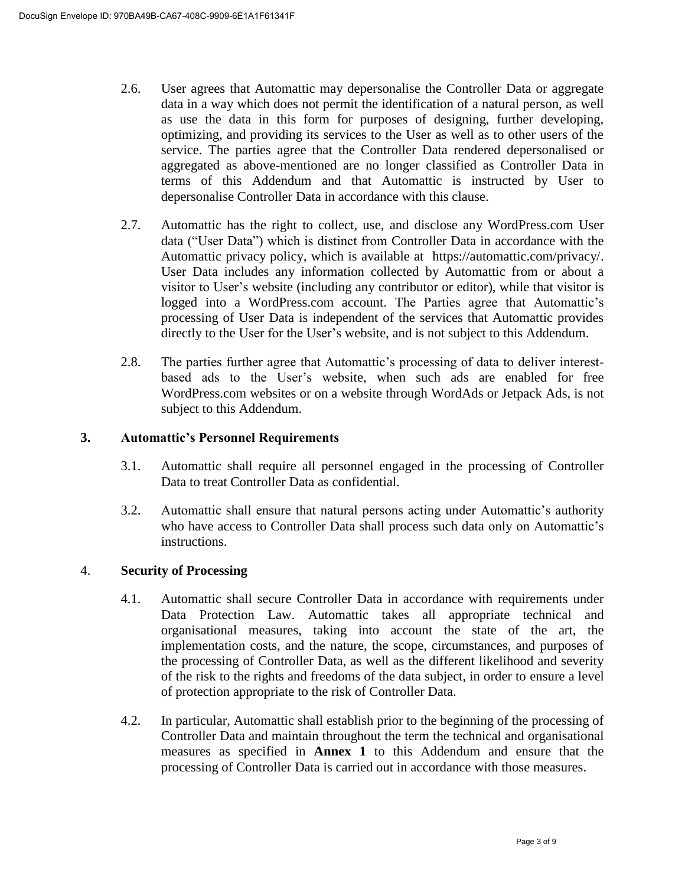- 2.6. User agrees that Automattic may depersonalise the Controller Data or aggregate data in a way which does not permit the identification of a natural person, as well as use the data in this form for purposes of designing, further developing, optimizing, and providing its services to the User as well as to other users of the service. The parties agree that the Controller Data rendered depersonalised or aggregated as above-mentioned are no longer classified as Controller Data in terms of this Addendum and that Automattic is instructed by User to depersonalise Controller Data in accordance with this clause.
- 2.7. Automattic has the right to collect, use, and disclose any WordPress.com User data ("User Data") which is distinct from Controller Data in accordance with the Automattic privacy policy, which is available at [https://automattic.com/privacy/.](https://automattic.com/privacy/) User Data includes any information collected by Automattic from or about a visitor to User's website (including any contributor or editor), while that visitor is logged into a WordPress.com account. The Parties agree that Automattic's processing of User Data is independent of the services that Automattic provides directly to the User for the User's website, and is not subject to this Addendum.
- 2.8. The parties further agree that Automattic's processing of data to deliver interestbased ads to the User's website, when such ads are enabled for free WordPress.com websites or on a website through WordAds or Jetpack Ads, is not subject to this Addendum.

# **3. Automattic's Personnel Requirements**

- 3.1. Automattic shall require all personnel engaged in the processing of Controller Data to treat Controller Data as confidential.
- 3.2. Automattic shall ensure that natural persons acting under Automattic's authority who have access to Controller Data shall process such data only on Automattic's instructions.

## 4. **Security of Processing**

- 4.1. Automattic shall secure Controller Data in accordance with requirements under Data Protection Law. Automattic takes all appropriate technical and organisational measures, taking into account the state of the art, the implementation costs, and the nature, the scope, circumstances, and purposes of the processing of Controller Data, as well as the different likelihood and severity of the risk to the rights and freedoms of the data subject, in order to ensure a level of protection appropriate to the risk of Controller Data.
- 4.2. In particular, Automattic shall establish prior to the beginning of the processing of Controller Data and maintain throughout the term the technical and organisational measures as specified in **Annex 1** to this Addendum and ensure that the processing of Controller Data is carried out in accordance with those measures.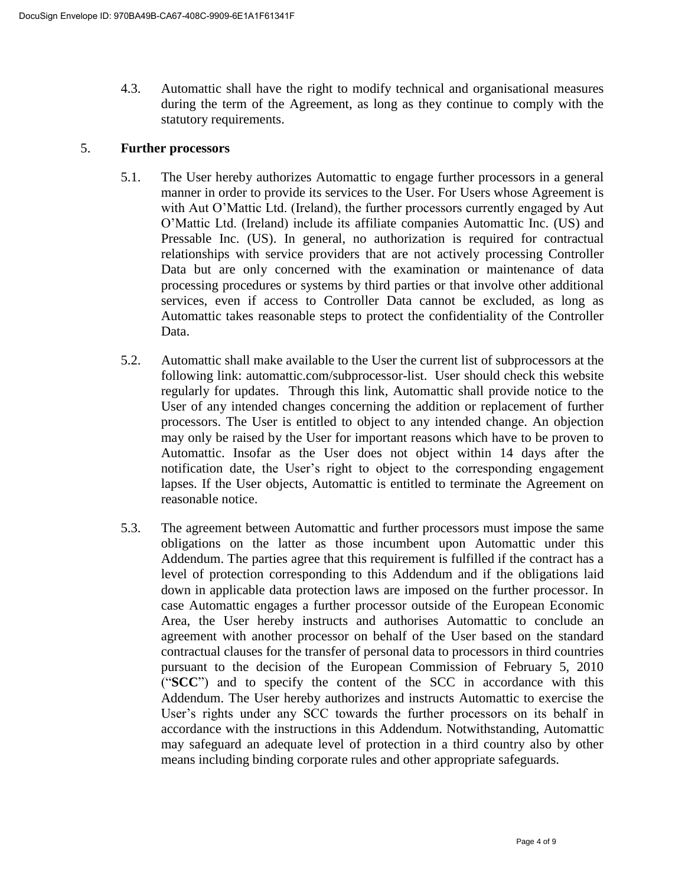4.3. Automattic shall have the right to modify technical and organisational measures during the term of the Agreement, as long as they continue to comply with the statutory requirements.

## 5. **Further processors**

- 5.1. The User hereby authorizes Automattic to engage further processors in a general manner in order to provide its services to the User. For Users whose Agreement is with Aut O'Mattic Ltd. (Ireland), the further processors currently engaged by Aut O'Mattic Ltd. (Ireland) include its affiliate companies Automattic Inc. (US) and Pressable Inc. (US). In general, no authorization is required for contractual relationships with service providers that are not actively processing Controller Data but are only concerned with the examination or maintenance of data processing procedures or systems by third parties or that involve other additional services, even if access to Controller Data cannot be excluded, as long as Automattic takes reasonable steps to protect the confidentiality of the Controller Data.
- 5.2. Automattic shall make available to the User the current list of subprocessors at the following link: automattic.com/subprocessor-list. User should check this website regularly for updates. Through this link, Automattic shall provide notice to the User of any intended changes concerning the addition or replacement of further processors. The User is entitled to object to any intended change. An objection may only be raised by the User for important reasons which have to be proven to Automattic. Insofar as the User does not object within 14 days after the notification date, the User's right to object to the corresponding engagement lapses. If the User objects, Automattic is entitled to terminate the Agreement on reasonable notice.
- 5.3. The agreement between Automattic and further processors must impose the same obligations on the latter as those incumbent upon Automattic under this Addendum. The parties agree that this requirement is fulfilled if the contract has a level of protection corresponding to this Addendum and if the obligations laid down in applicable data protection laws are imposed on the further processor. In case Automattic engages a further processor outside of the European Economic Area, the User hereby instructs and authorises Automattic to conclude an agreement with another processor on behalf of the User based on the standard contractual clauses for the transfer of personal data to processors in third countries pursuant to the decision of the European Commission of February 5, 2010 ("**SCC**") and to specify the content of the SCC in accordance with this Addendum. The User hereby authorizes and instructs Automattic to exercise the User's rights under any SCC towards the further processors on its behalf in accordance with the instructions in this Addendum. Notwithstanding, Automattic may safeguard an adequate level of protection in a third country also by other means including binding corporate rules and other appropriate safeguards.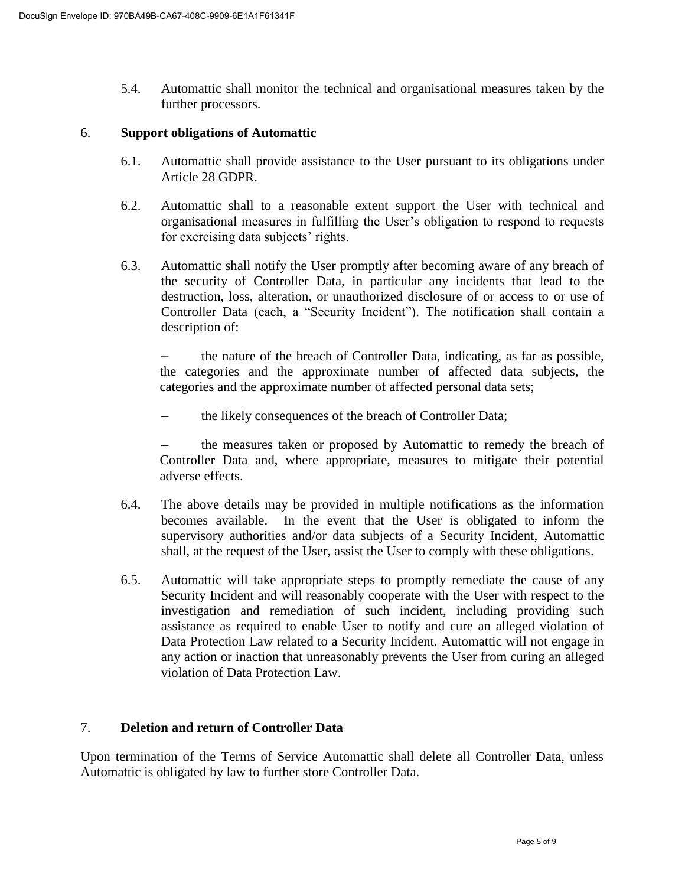5.4. Automattic shall monitor the technical and organisational measures taken by the further processors.

#### 6. **Support obligations of Automattic**

- 6.1. Automattic shall provide assistance to the User pursuant to its obligations under Article 28 GDPR.
- 6.2. Automattic shall to a reasonable extent support the User with technical and organisational measures in fulfilling the User's obligation to respond to requests for exercising data subjects' rights.
- 6.3. Automattic shall notify the User promptly after becoming aware of any breach of the security of Controller Data, in particular any incidents that lead to the destruction, loss, alteration, or unauthorized disclosure of or access to or use of Controller Data (each, a "Security Incident"). The notification shall contain a description of:

– the nature of the breach of Controller Data, indicating, as far as possible, the categories and the approximate number of affected data subjects, the categories and the approximate number of affected personal data sets;

– the likely consequences of the breach of Controller Data;

– the measures taken or proposed by Automattic to remedy the breach of Controller Data and, where appropriate, measures to mitigate their potential adverse effects.

- 6.4. The above details may be provided in multiple notifications as the information becomes available. In the event that the User is obligated to inform the supervisory authorities and/or data subjects of a Security Incident, Automattic shall, at the request of the User, assist the User to comply with these obligations.
- 6.5. Automattic will take appropriate steps to promptly remediate the cause of any Security Incident and will reasonably cooperate with the User with respect to the investigation and remediation of such incident, including providing such assistance as required to enable User to notify and cure an alleged violation of Data Protection Law related to a Security Incident. Automattic will not engage in any action or inaction that unreasonably prevents the User from curing an alleged violation of Data Protection Law.

## 7. **Deletion and return of Controller Data**

Upon termination of the Terms of Service Automattic shall delete all Controller Data, unless Automattic is obligated by law to further store Controller Data.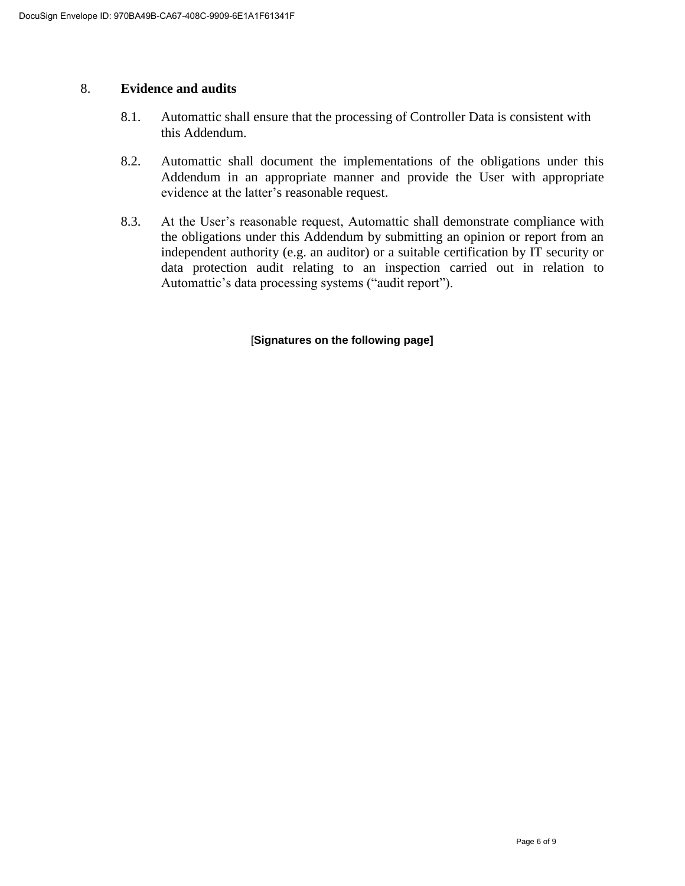### 8. **Evidence and audits**

- 8.1. Automattic shall ensure that the processing of Controller Data is consistent with this Addendum.
- 8.2. Automattic shall document the implementations of the obligations under this Addendum in an appropriate manner and provide the User with appropriate evidence at the latter's reasonable request.
- 8.3. At the User's reasonable request, Automattic shall demonstrate compliance with the obligations under this Addendum by submitting an opinion or report from an independent authority (e.g. an auditor) or a suitable certification by IT security or data protection audit relating to an inspection carried out in relation to Automattic's data processing systems ("audit report").

#### [**Signatures on the following page]**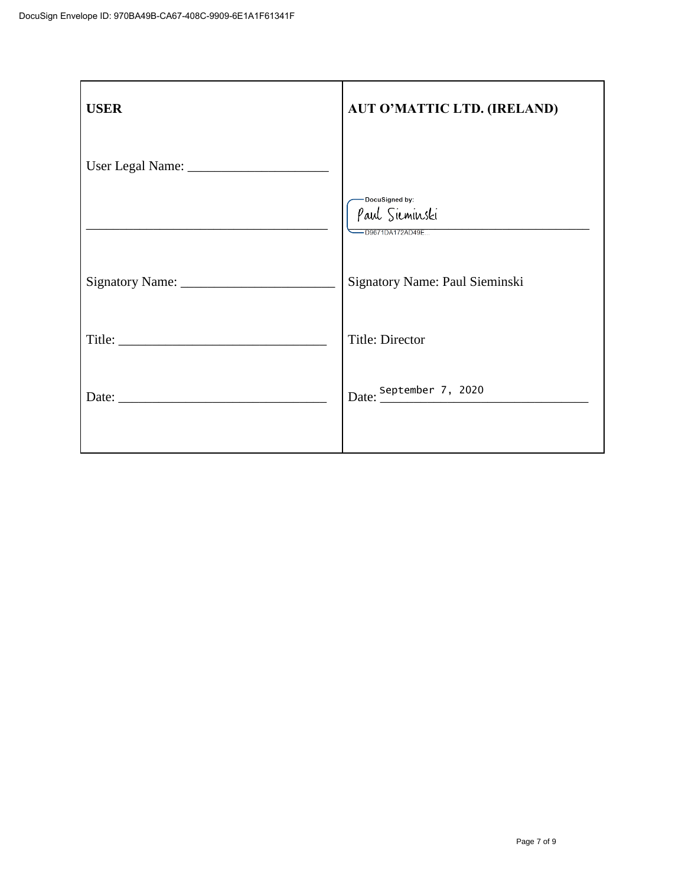| <b>USER</b> | <b>AUT O'MATTIC LTD. (IRELAND)</b>                   |
|-------------|------------------------------------------------------|
|             |                                                      |
|             | DocuSigned by:<br>Paul Sieminski<br>-D9671DA172AD49E |
|             | Signatory Name: Paul Sieminski                       |
|             | Title: Director                                      |
|             | Date: September 7, 2020                              |
|             |                                                      |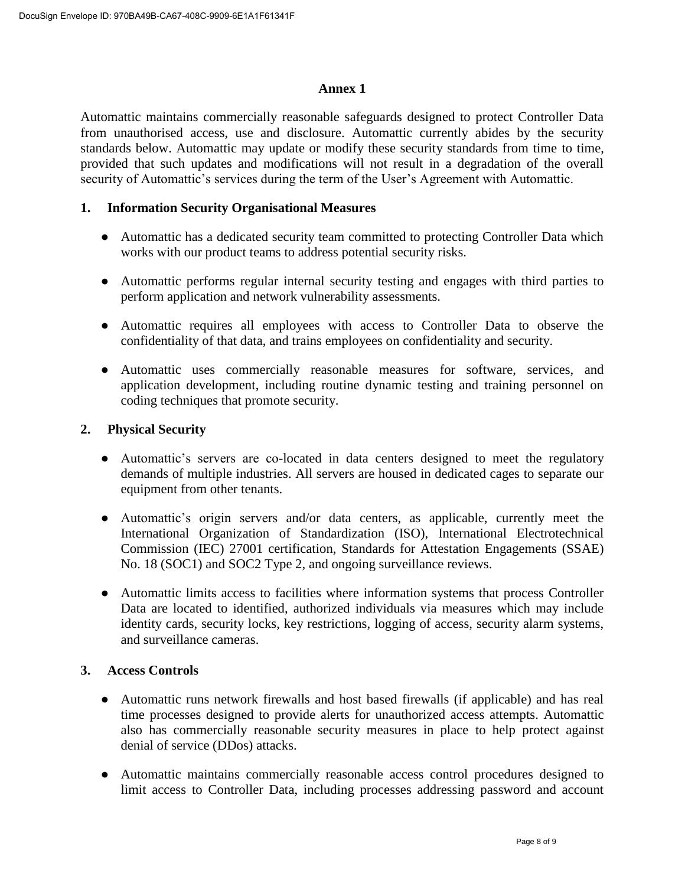## **Annex 1**

Automattic maintains commercially reasonable safeguards designed to protect Controller Data from unauthorised access, use and disclosure. Automattic currently abides by the security standards below. Automattic may update or modify these security standards from time to time, provided that such updates and modifications will not result in a degradation of the overall security of Automattic's services during the term of the User's Agreement with Automattic.

### **1. Information Security Organisational Measures**

- Automattic has a dedicated security team committed to protecting Controller Data which works with our product teams to address potential security risks.
- Automattic performs regular internal security testing and engages with third parties to perform application and network vulnerability assessments.
- Automattic requires all employees with access to Controller Data to observe the confidentiality of that data, and trains employees on confidentiality and security.
- Automattic uses commercially reasonable measures for software, services, and application development, including routine dynamic testing and training personnel on coding techniques that promote security.

## **2. Physical Security**

- Automattic's servers are co-located in data centers designed to meet the regulatory demands of multiple industries. All servers are housed in dedicated cages to separate our equipment from other tenants.
- Automattic's origin servers and/or data centers, as applicable, currently meet the International Organization of Standardization (ISO), International Electrotechnical Commission (IEC) 27001 certification, Standards for Attestation Engagements (SSAE) No. 18 (SOC1) and SOC2 Type 2, and ongoing surveillance reviews.
- Automattic limits access to facilities where information systems that process Controller Data are located to identified, authorized individuals via measures which may include identity cards, security locks, key restrictions, logging of access, security alarm systems, and surveillance cameras.

## **3. Access Controls**

- Automattic runs network firewalls and host based firewalls (if applicable) and has real time processes designed to provide alerts for unauthorized access attempts. Automattic also has commercially reasonable security measures in place to help protect against denial of service (DDos) attacks.
- Automattic maintains commercially reasonable access control procedures designed to limit access to Controller Data, including processes addressing password and account